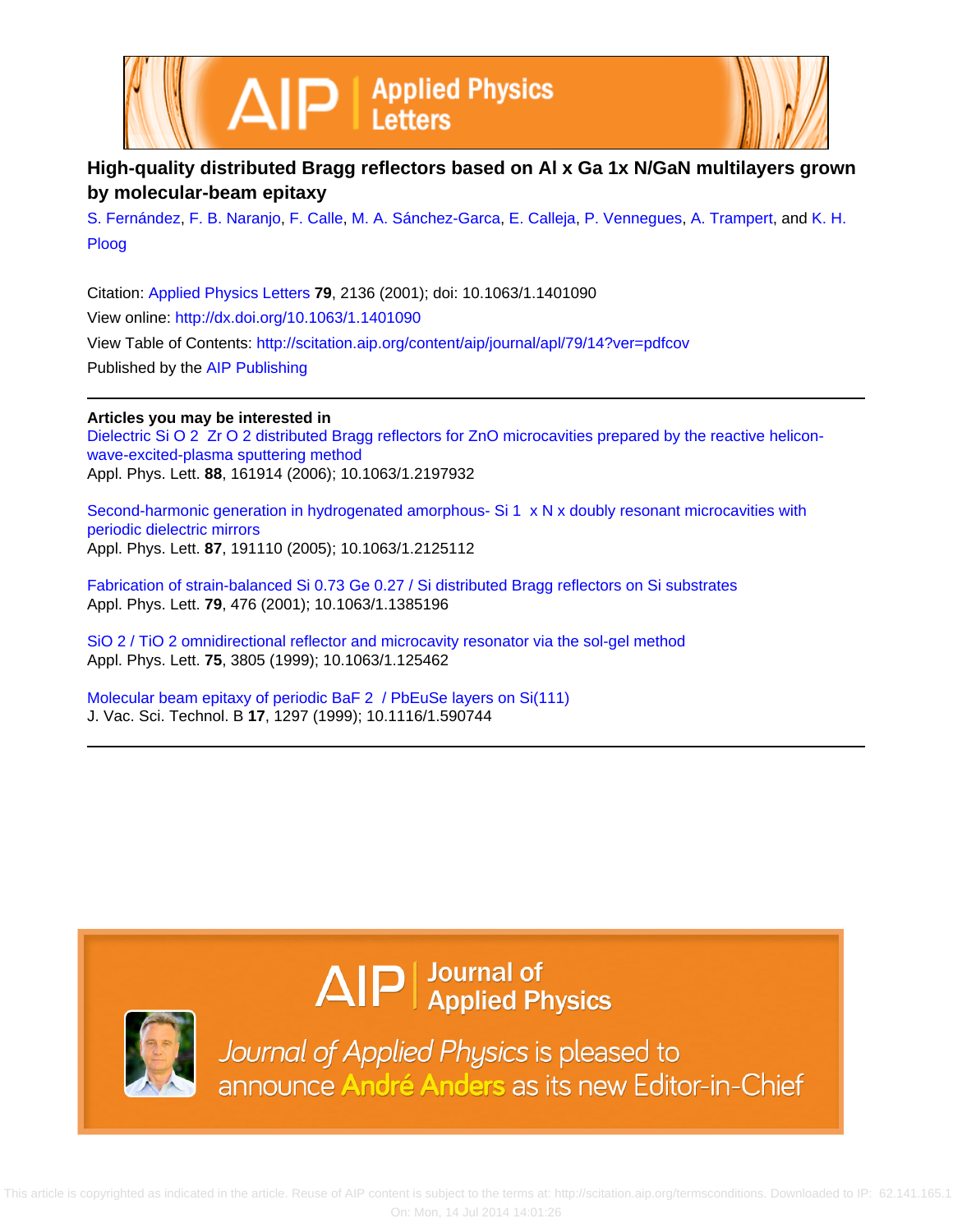



## **High-quality distributed Bragg reflectors based on Al x Ga 1x N/GaN multilayers grown by molecular-beam epitaxy**

[S. Fernández](http://scitation.aip.org/search?value1=S.+Fern�ndez&option1=author), [F. B. Naranjo](http://scitation.aip.org/search?value1=F.+B.+Naranjo&option1=author), [F. Calle,](http://scitation.aip.org/search?value1=F.+Calle&option1=author) [M. A. Sánchez-Garca,](http://scitation.aip.org/search?value1=M.+A.+S�nchez-Garc�a&option1=author) [E. Calleja](http://scitation.aip.org/search?value1=E.+Calleja&option1=author), [P. Vennegues](http://scitation.aip.org/search?value1=P.+Vennegues&option1=author), [A. Trampert,](http://scitation.aip.org/search?value1=A.+Trampert&option1=author) and [K. H.](http://scitation.aip.org/search?value1=K.+H.+Ploog&option1=author) [Ploog](http://scitation.aip.org/search?value1=K.+H.+Ploog&option1=author)

Citation: [Applied Physics Letters](http://scitation.aip.org/content/aip/journal/apl?ver=pdfcov) **79**, 2136 (2001); doi: 10.1063/1.1401090 View online: <http://dx.doi.org/10.1063/1.1401090> View Table of Contents: <http://scitation.aip.org/content/aip/journal/apl/79/14?ver=pdfcov> Published by the [AIP Publishing](http://scitation.aip.org/content/aip?ver=pdfcov)

### **Articles you may be interested in**

[Dielectric Si O 2 Zr O 2 distributed Bragg reflectors for ZnO microcavities prepared by the reactive helicon](http://scitation.aip.org/content/aip/journal/apl/88/16/10.1063/1.2197932?ver=pdfcov)[wave-excited-plasma sputtering method](http://scitation.aip.org/content/aip/journal/apl/88/16/10.1063/1.2197932?ver=pdfcov) Appl. Phys. Lett. **88**, 161914 (2006); 10.1063/1.2197932

[Second-harmonic generation in hydrogenated amorphous- Si 1 x N x doubly resonant microcavities with](http://scitation.aip.org/content/aip/journal/apl/87/19/10.1063/1.2125112?ver=pdfcov) [periodic dielectric mirrors](http://scitation.aip.org/content/aip/journal/apl/87/19/10.1063/1.2125112?ver=pdfcov) Appl. Phys. Lett. **87**, 191110 (2005); 10.1063/1.2125112

[Fabrication of strain-balanced Si 0.73 Ge 0.27 / Si distributed Bragg reflectors on Si substrates](http://scitation.aip.org/content/aip/journal/apl/79/4/10.1063/1.1385196?ver=pdfcov) Appl. Phys. Lett. **79**, 476 (2001); 10.1063/1.1385196

[SiO 2 / TiO 2 omnidirectional reflector and microcavity resonator via the sol-gel method](http://scitation.aip.org/content/aip/journal/apl/75/24/10.1063/1.125462?ver=pdfcov) Appl. Phys. Lett. **75**, 3805 (1999); 10.1063/1.125462

[Molecular beam epitaxy of periodic BaF 2 / PbEuSe layers on Si\(111\)](http://scitation.aip.org/content/avs/journal/jvstb/17/3/10.1116/1.590744?ver=pdfcov) J. Vac. Sci. Technol. B **17**, 1297 (1999); 10.1116/1.590744

# $\Delta$   $\vert P \vert$  Journal of Applied Physics



Journal of Applied Physics is pleased to announce André Anders as its new Editor-in-Chief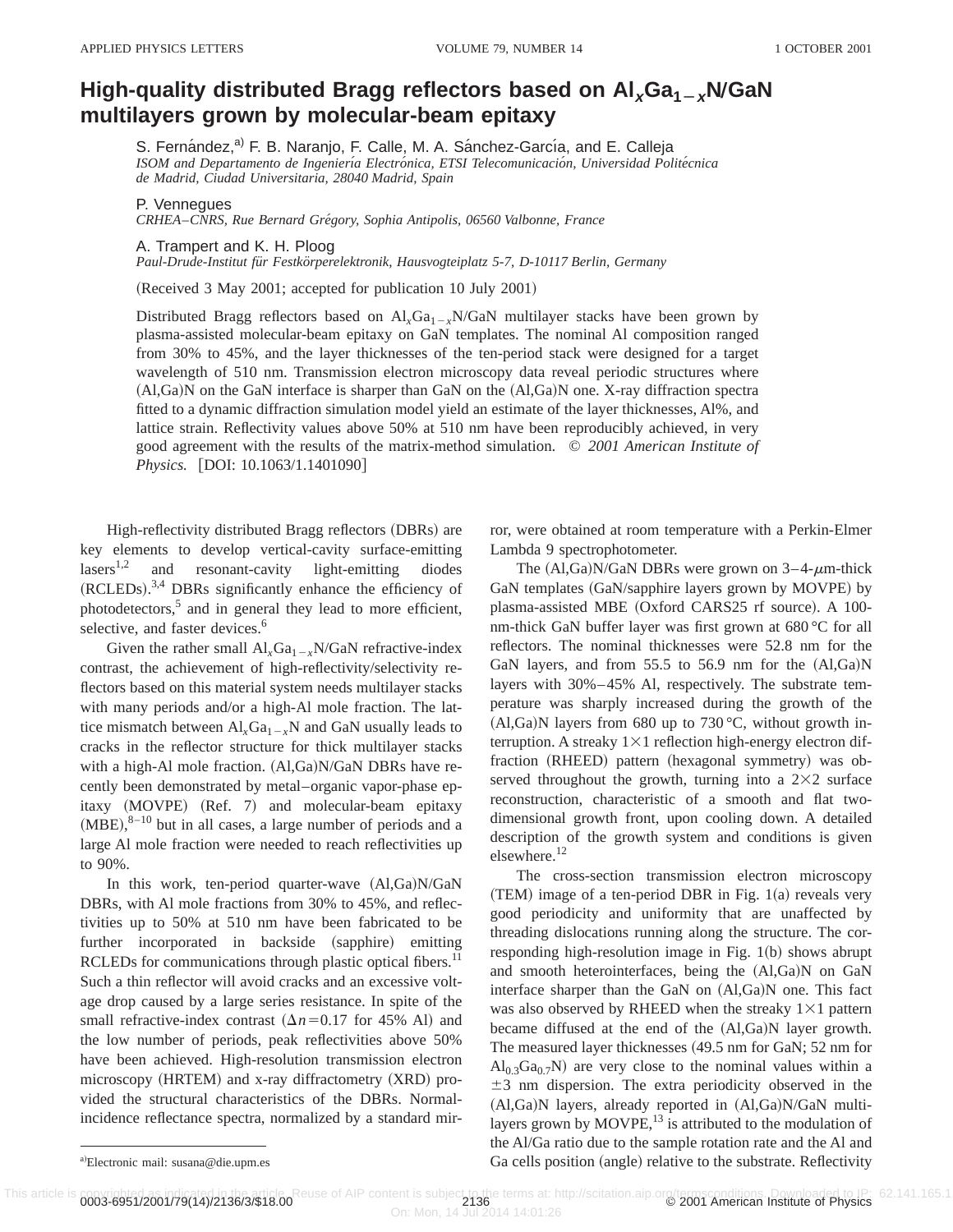## **High-quality distributed Bragg reflectors based on**  $AI_xGa_{1-x}N/GaN$ **multilayers grown by molecular-beam epitaxy**

S. Fernández,<sup>a)</sup> F. B. Naranjo, F. Calle, M. A. Sánchez-García, and E. Calleja *ISOM and Departamento de Ingenierı´a Electro´nica, ETSI Telecomunicacio´n, Universidad Polite´cnica de Madrid, Ciudad Universitaria, 28040 Madrid, Spain*

P. Vennegues

*CRHEA*–*CNRS, Rue Bernard Gre´gory, Sophia Antipolis, 06560 Valbonne, France*

#### A. Trampert and K. H. Ploog

*Paul-Drude-Institut fu¨r Festko¨rperelektronik, Hausvogteiplatz 5-7, D-10117 Berlin, Germany*

 $(Received 3 May 2001; accepted for publication 10 July 2001)$ 

Distributed Bragg reflectors based on  $Al_xGa_{1-x}N/GaN$  multilayer stacks have been grown by plasma-assisted molecular-beam epitaxy on GaN templates. The nominal Al composition ranged from 30% to 45%, and the layer thicknesses of the ten-period stack were designed for a target wavelength of 510 nm. Transmission electron microscopy data reveal periodic structures where  $(A, Ga)$ N on the GaN interface is sharper than GaN on the  $(A, Ga)$ N one. X-ray diffraction spectra fitted to a dynamic diffraction simulation model yield an estimate of the layer thicknesses, Al%, and lattice strain. Reflectivity values above 50% at 510 nm have been reproducibly achieved, in very good agreement with the results of the matrix-method simulation. © *2001 American Institute of Physics.* [DOI: 10.1063/1.1401090]

High-reflectivity distributed Bragg reflectors (DBRs) are key elements to develop vertical-cavity surface-emitting  $lases<sup>1,2</sup>$  and resonant-cavity light-emitting diodes  $(RCLEDs).$ <sup>3,4</sup> DBRs significantly enhance the efficiency of photodetectors,<sup>5</sup> and in general they lead to more efficient, selective, and faster devices.<sup>6</sup>

Given the rather small  $AI_xGa_{1-x}N/GaN$  refractive-index contrast, the achievement of high-reflectivity/selectivity reflectors based on this material system needs multilayer stacks with many periods and/or a high-Al mole fraction. The lattice mismatch between  $Al_xGa_{1-x}N$  and GaN usually leads to cracks in the reflector structure for thick multilayer stacks with a high-Al mole fraction.  $(AI,Ga)N/GaN$  DBRs have recently been demonstrated by metal–organic vapor-phase epitaxy (MOVPE) (Ref. 7) and molecular-beam epitaxy  $(MBE),<sup>8-10</sup>$  but in all cases, a large number of periods and a large Al mole fraction were needed to reach reflectivities up to 90%.

In this work, ten-period quarter-wave  $(AI,Ga)N/GaN$ DBRs, with Al mole fractions from 30% to 45%, and reflectivities up to 50% at 510 nm have been fabricated to be further incorporated in backside (sapphire) emitting RCLEDs for communications through plastic optical fibers.<sup>11</sup> Such a thin reflector will avoid cracks and an excessive voltage drop caused by a large series resistance. In spite of the small refractive-index contrast  $(\Delta n=0.17$  for 45% Al) and the low number of periods, peak reflectivities above 50% have been achieved. High-resolution transmission electron  $microscopy$  (HRTEM) and x-ray diffractometry  $(XRD)$  provided the structural characteristics of the DBRs. Normalincidence reflectance spectra, normalized by a standard mirror, were obtained at room temperature with a Perkin-Elmer Lambda 9 spectrophotometer.

The  $(Al,Ga)N/GaN$  DBRs were grown on  $3-4- \mu m$ -thick GaN templates (GaN/sapphire layers grown by MOVPE) by plasma-assisted MBE (Oxford CARS25 rf source). A 100nm-thick GaN buffer layer was first grown at 680 °C for all reflectors. The nominal thicknesses were 52.8 nm for the GaN layers, and from  $55.5$  to  $56.9$  nm for the  $(Al,Ga)N$ layers with 30%–45% Al, respectively. The substrate temperature was sharply increased during the growth of the  $(Al,Ga)N$  layers from 680 up to 730 °C, without growth interruption. A streaky  $1\times1$  reflection high-energy electron diffraction (RHEED) pattern (hexagonal symmetry) was observed throughout the growth, turning into a  $2\times 2$  surface reconstruction, characteristic of a smooth and flat twodimensional growth front, upon cooling down. A detailed description of the growth system and conditions is given elsewhere.<sup>12</sup>

The cross-section transmission electron microscopy  $(TEM)$  image of a ten-period DBR in Fig. 1(a) reveals very good periodicity and uniformity that are unaffected by threading dislocations running along the structure. The corresponding high-resolution image in Fig.  $1(b)$  shows abrupt and smooth heterointerfaces, being the  $(AI,Ga)N$  on  $GaN$ interface sharper than the GaN on  $(AI,Ga)N$  one. This fact was also observed by RHEED when the streaky  $1\times1$  pattern became diffused at the end of the  $(Al,Ga)N$  layer growth. The measured layer thicknesses  $(49.5 \text{ nm} \text{ for } \text{GaN}; 52 \text{ nm} \text{ for }$  $Al<sub>0.3</sub>Ga<sub>0.7</sub>N$ ) are very close to the nominal values within a  $\pm$ 3 nm dispersion. The extra periodicity observed in the  $(Al,Ga)N$  layers, already reported in  $(Al,Ga)N/GaN$  multilayers grown by  $MOPE$ ,<sup>13</sup> is attributed to the modulation of the Al/Ga ratio due to the sample rotation rate and the Al and Ga cells position (angle) relative to the substrate. Reflectivity

This article is convicting to IP: 62.141.165.1<br>0003-6951/2001/79(14)/2136/3/\$18.00

Electronic mail: susana@die.upm.es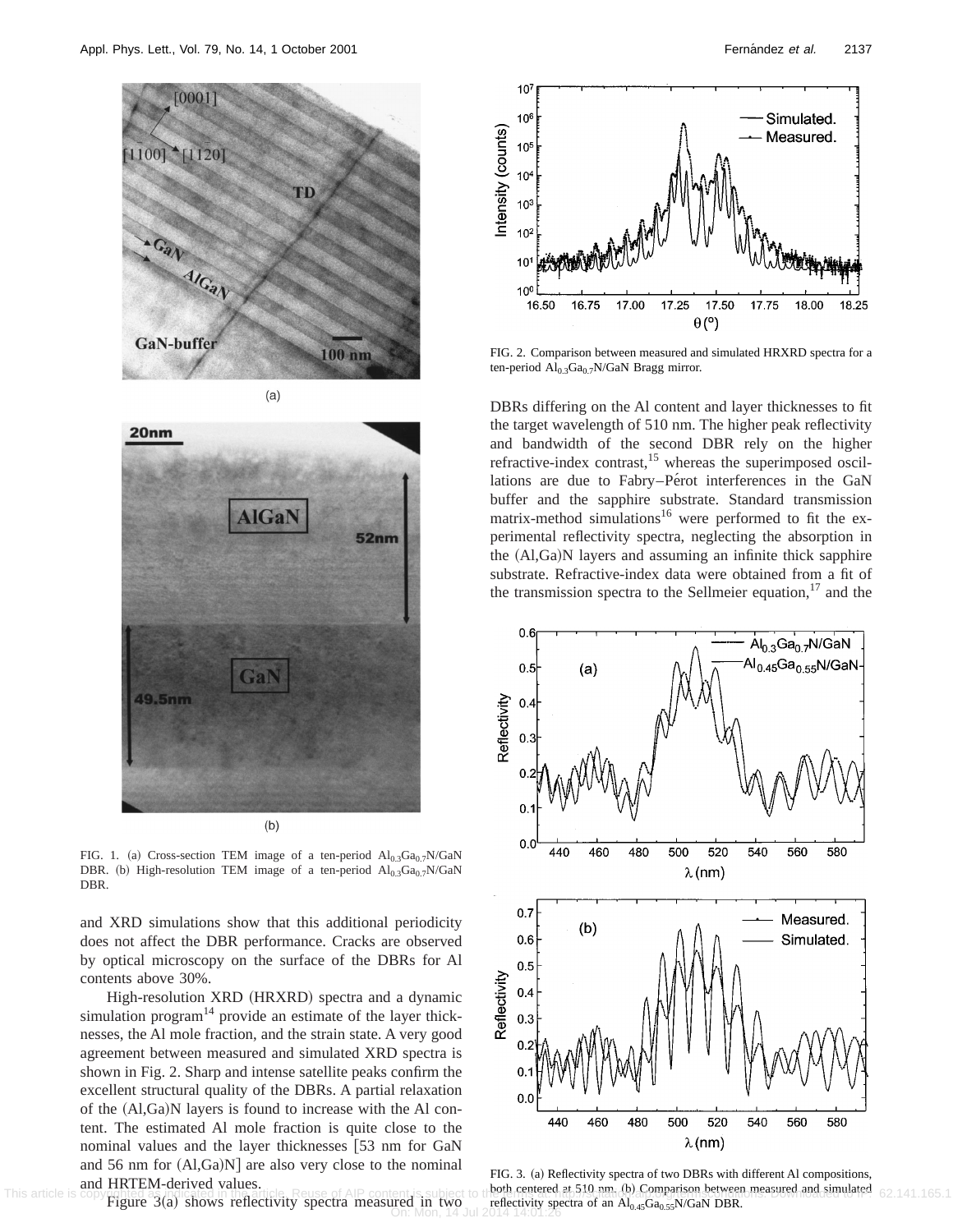





FIG. 1. (a) Cross-section TEM image of a ten-period  $Al_{0.3}Ga_{0.7}N/GaN$ DBR. (b) High-resolution TEM image of a ten-period  $Al<sub>0.3</sub>Ga<sub>0.7</sub>N/GaN$ DBR.

and XRD simulations show that this additional periodicity does not affect the DBR performance. Cracks are observed by optical microscopy on the surface of the DBRs for Al contents above 30%.

High-resolution XRD (HRXRD) spectra and a dynamic simulation program $14$  provide an estimate of the layer thicknesses, the Al mole fraction, and the strain state. A very good agreement between measured and simulated XRD spectra is shown in Fig. 2. Sharp and intense satellite peaks confirm the excellent structural quality of the DBRs. A partial relaxation of the  $(Al,Ga)N$  layers is found to increase with the Al content. The estimated Al mole fraction is quite close to the nominal values and the layer thicknesses [53 nm for GaN and 56 nm for  $(Al,Ga)N$  are also very close to the nominal and HRTEM-derived values.

Figure  $3(a)$  shows reflectivity spectra measured in two



FIG. 2. Comparison between measured and simulated HRXRD spectra for a ten-period  $Al_{0.3}Ga_{0.7}N/GaN$  Bragg mirror.

DBRs differing on the Al content and layer thicknesses to fit the target wavelength of 510 nm. The higher peak reflectivity and bandwidth of the second DBR rely on the higher refractive-index contrast,<sup>15</sup> whereas the superimposed oscillations are due to Fabry–Pérot interferences in the GaN buffer and the sapphire substrate. Standard transmission matrix-method simulations<sup>16</sup> were performed to fit the experimental reflectivity spectra, neglecting the absorption in the (Al,Ga)N layers and assuming an infinite thick sapphire substrate. Refractive-index data were obtained from a fit of the transmission spectra to the Sellmeier equation, $17$  and the



FIG. 3. (a) Reflectivity spectra of two DBRs with different Al compositions, This article is copyrighted as indicated in the article. Reuse of AIP content is subject to the the restreed at 510 nm. (b). Comparison between measured and simulated 62.141.165.1 **ired in two** reflectivity spectra of an Al<sub>0.45</sub>Ga<sub>0.55</sub>N/GaN DBR.<br>On: Mon, 14 Jul 2014 14:01:26